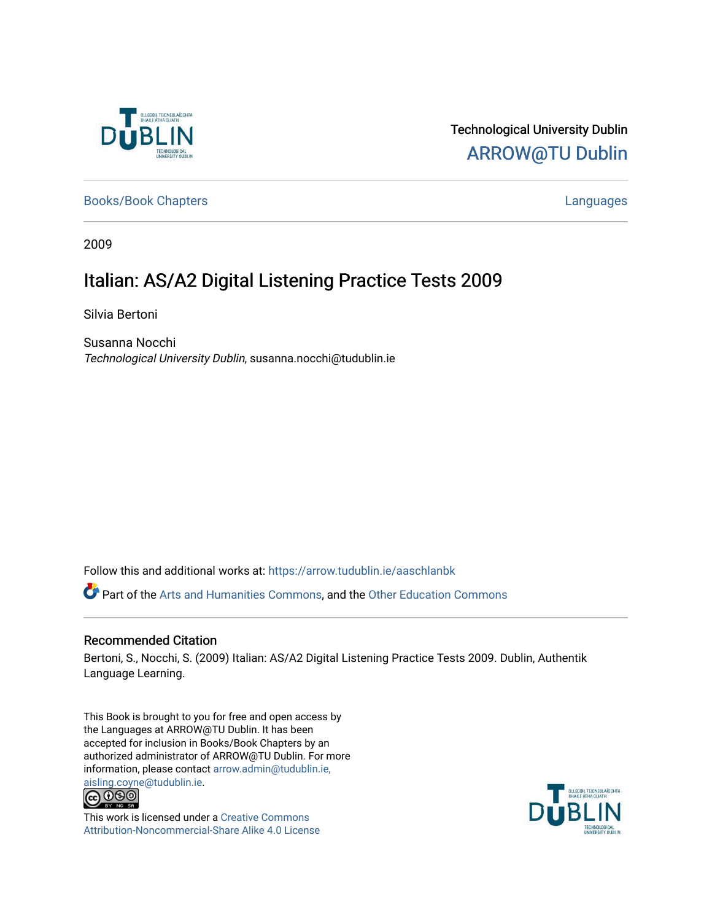

# Technological University Dublin [ARROW@TU Dublin](https://arrow.tudublin.ie/)

[Books/Book Chapters](https://arrow.tudublin.ie/aaschlanbk) **Languages** [Languages](https://arrow.tudublin.ie/aaschlan) **Languages** 

2009

# Italian: AS/A2 Digital Listening Practice Tests 2009

Silvia Bertoni

Susanna Nocchi Technological University Dublin, susanna.nocchi@tudublin.ie

Follow this and additional works at: [https://arrow.tudublin.ie/aaschlanbk](https://arrow.tudublin.ie/aaschlanbk?utm_source=arrow.tudublin.ie%2Faaschlanbk%2F10&utm_medium=PDF&utm_campaign=PDFCoverPages) 

Part of the [Arts and Humanities Commons,](http://network.bepress.com/hgg/discipline/438?utm_source=arrow.tudublin.ie%2Faaschlanbk%2F10&utm_medium=PDF&utm_campaign=PDFCoverPages) and the [Other Education Commons](http://network.bepress.com/hgg/discipline/811?utm_source=arrow.tudublin.ie%2Faaschlanbk%2F10&utm_medium=PDF&utm_campaign=PDFCoverPages) 

#### Recommended Citation

Bertoni, S., Nocchi, S. (2009) Italian: AS/A2 Digital Listening Practice Tests 2009. Dublin, Authentik Language Learning.

This Book is brought to you for free and open access by the Languages at ARROW@TU Dublin. It has been accepted for inclusion in Books/Book Chapters by an authorized administrator of ARROW@TU Dublin. For more information, please contact [arrow.admin@tudublin.ie,](mailto:arrow.admin@tudublin.ie,%20aisling.coyne@tudublin.ie) 



This work is licensed under a [Creative Commons](http://creativecommons.org/licenses/by-nc-sa/4.0/) [Attribution-Noncommercial-Share Alike 4.0 License](http://creativecommons.org/licenses/by-nc-sa/4.0/)

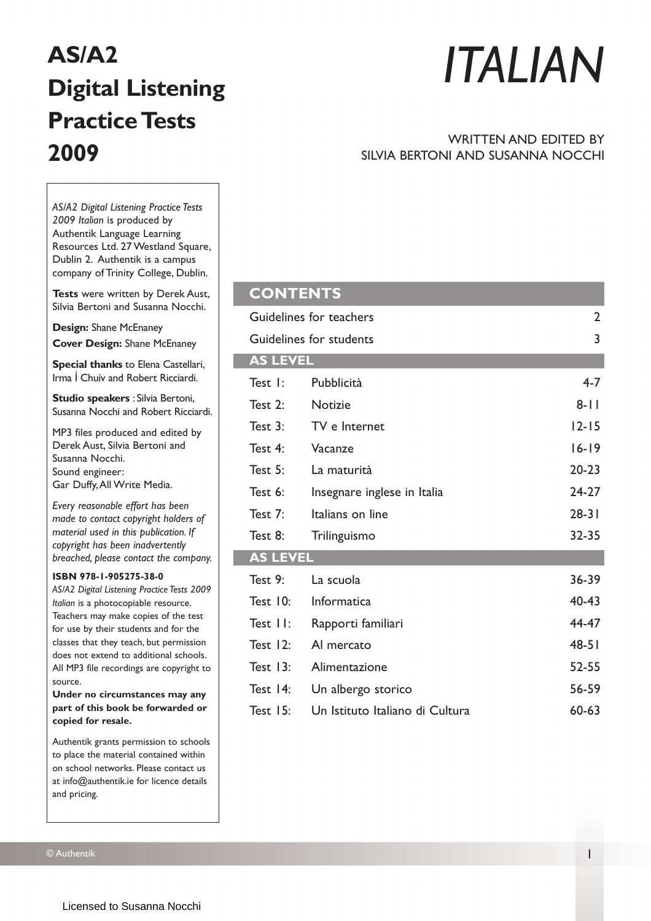# **AS/A2 Digital Listening Practice Tests 2009**

# *ITALIAN*

#### WRITTEN AND EDITED BY SILVIA BERTONI AND SUSANNA NOCCHI

*AS/A2 Digital Listening Practice Tests 2009 Italian* is produced by Authentik Language Learning Resources Ltd. 27 Westland Square, Dublin 2. Authentik is a campus company of Trinity College, Dublin.

**Tests** were written by Derek Aust, Silvia Bertoni and Susanna Nocchi.

**Design:** Shane McEnaney **Cover Design:** Shane McEnaney

**Special thanks** to Elena Castellari, Irma Í Chuív and Robert Ricciardi.

**Studio speakers** : Silvia Bertoni, Susanna Nocchi and Robert Ricciardi.

MP3 files produced and edited by Derek Aust, Silvia Bertoni and Susanna Nocchi. Sound engineer: Gar Duffy,All Write Media.

*Every reasonable effort has been made to contact copyright holders of material used in this publication. If copyright has been inadvertently breached, please contact the company.*

#### **ISBN 978-1-905275-38-0**

*AS/A2 Digital Listening Practice Tests 2009 Italian* is a photocopiable resource. Teachers may make copies of the test for use by their students and for the classes that they teach, but permission does not extend to additional schools. All MP3 file recordings are copyright to source.

**Under no circumstances may any part of this book be forwarded or copied for resale.**

Authentik grants permission to schools to place the material contained within on school networks. Please contact us at info@authentik.ie for licence details and pricing.

| <b>CONTENTS</b>         |                                 |           |
|-------------------------|---------------------------------|-----------|
| Guidelines for teachers | $\overline{2}$                  |           |
| Guidelines for students | 3                               |           |
| <b>AS LEVEL</b>         |                                 |           |
| Test I:                 | Pubblicità                      | $4 - 7$   |
| Test $2:$               | <b>Notizie</b>                  | $8 - 11$  |
| Test 3:                 | TV e Internet                   | $12 - 15$ |
| Test 4:                 | Vacanze                         | $16 - 19$ |
| Test $5:$               | La maturità                     | $20 - 23$ |
| Test 6:                 | Insegnare inglese in Italia     | $24-27$   |
| Test $7:$               | Italians on line                | $28 - 31$ |
| Test 8:                 | Trilinguismo                    | 32-35     |
| <b>AS LEVEL</b>         |                                 |           |
| Test 9:                 | La scuola                       | 36-39     |
| Test $10:$              | Informatica                     | $40 - 43$ |
| Test II:                | Rapporti familiari              | 44-47     |
| Test $12:$              | Al mercato                      | $48 - 51$ |
| Test $13:$              | Alimentazione                   | $52 - 55$ |
| Test 14:                | Un albergo storico              | 56-59     |
| Test $15$ :             | Un Istituto Italiano di Cultura | $60 - 63$ |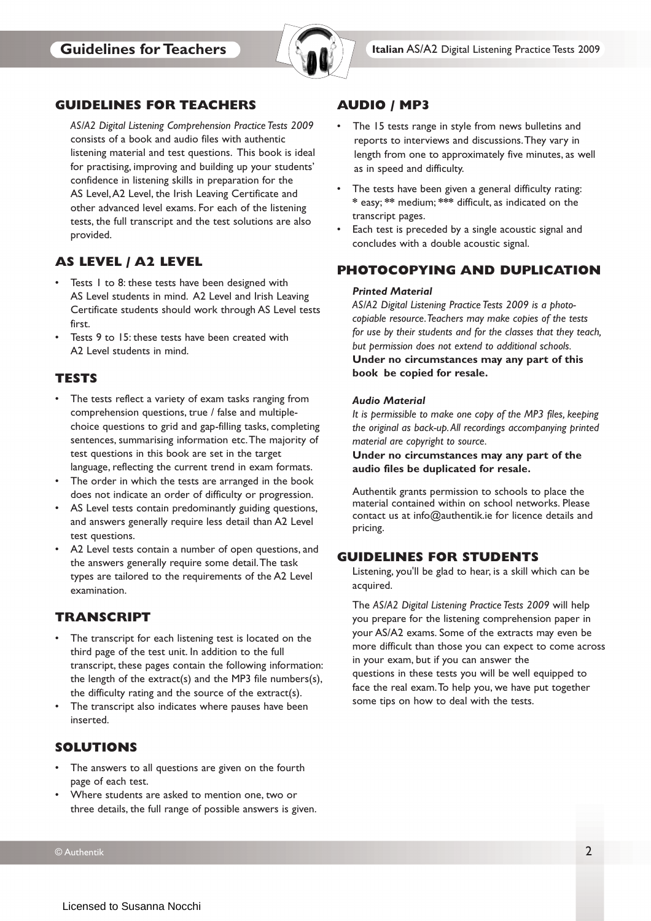

#### **GUIDELINES FOR TEACHERS**

*AS/A2 Digital Listening Comprehension Practice Tests 2009* consists of a book and audio files with authentic listening material and test questions. This book is ideal for practising, improving and building up your students' confidence in listening skills in preparation for the AS Level, A2 Level, the Irish Leaving Certificate and other advanced level exams. For each of the listening tests, the full transcript and the test solutions are also provided.

# **AS LEVEL / A2 LEVEL**

- Tests 1 to 8: these tests have been designed with AS Level students in mind. A2 Level and Irish Leaving Certificate students should work through AS Level tests first.
- Tests 9 to 15: these tests have been created with A2 Level students in mind.

# **TESTS**

- The tests reflect a variety of exam tasks ranging from comprehension questions, true / false and multiplechoice questions to grid and gap-filling tasks, completing sentences, summarising information etc.The majority of test questions in this book are set in the target language, reflecting the current trend in exam formats.
- The order in which the tests are arranged in the book does not indicate an order of difficulty or progression.
- AS Level tests contain predominantly guiding questions, and answers generally require less detail than A2 Level test questions.
- A2 Level tests contain a number of open questions, and the answers generally require some detail.The task types are tailored to the requirements of the A2 Level examination.

### **TRANSCRIPT**

- The transcript for each listening test is located on the third page of the test unit. In addition to the full transcript, these pages contain the following information: the length of the extract(s) and the MP3 file numbers(s), the difficulty rating and the source of the extract(s).
- The transcript also indicates where pauses have been inserted.

### **SOLUTIONS**

- The answers to all questions are given on the fourth page of each test.
- Where students are asked to mention one, two or three details, the full range of possible answers is given.

#### **AUDIO / MP3**

- The 15 tests range in style from news bulletins and reports to interviews and discussions.They vary in length from one to approximately five minutes, as well as in speed and difficulty.
- The tests have been given a general difficulty rating: **\*** easy; **\*\*** medium; **\*\*\*** difficult, as indicated on the transcript pages.
- Each test is preceded by a single acoustic signal and concludes with a double acoustic signal.

#### **PHOTOCOPYING AND DUPLICATION**

#### *Printed Material*

*AS/A2 Digital Listening Practice Tests 2009 is a photocopiable resource.Teachers may make copies of the tests for use by their students and for the classes that they teach, but permission does not extend to additional schools.*

**Under no circumstances may any part of this book be copied for resale.**

#### *Audio Material*

*It is permissible to make one copy of the MP3 files, keeping the original as back-up.All recordings accompanying printed material are copyright to source.*

**Under no circumstances may any part of the audio files be duplicated for resale.**

Authentik grants permission to schools to place the material contained within on school networks. Please contact us at info@authentik.ie for licence details and pricing.

#### **GUIDELINES FOR STUDENTS**

Listening, you'll be glad to hear, is a skill which can be acquired.

The *AS/A2 Digital Listening Practice Tests 2009* will help you prepare for the listening comprehension paper in your AS/A2 exams. Some of the extracts may even be more difficult than those you can expect to come across in your exam, but if you can answer the questions in these tests you will be well equipped to face the real exam.To help you, we have put together some tips on how to deal with the tests.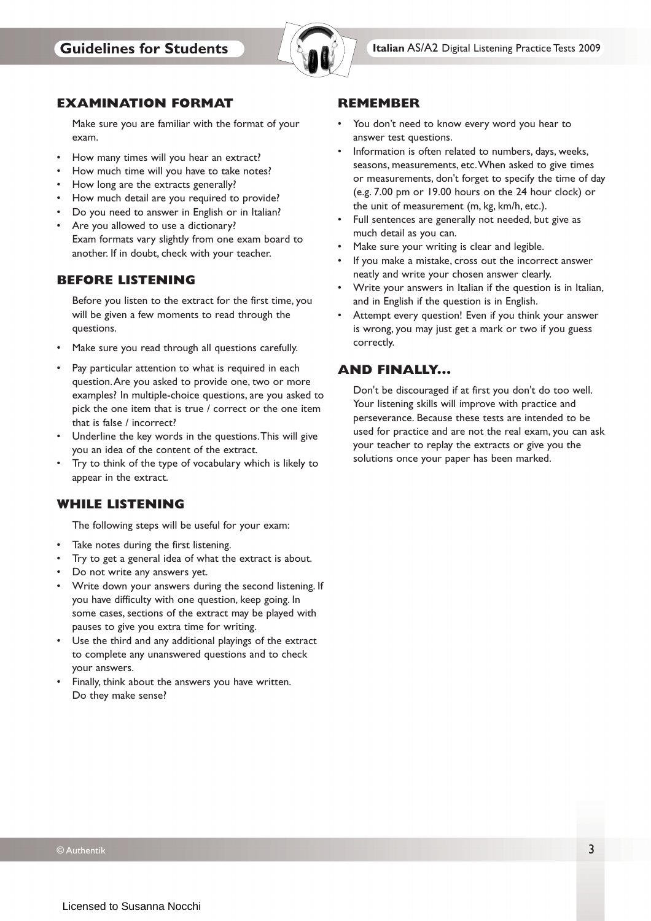

#### **EXAMINATION FORMAT**

Make sure you are familiar with the format of your exam.

- How many times will you hear an extract?
- How much time will you have to take notes?
- How long are the extracts generally?
- How much detail are you required to provide?
- Do you need to answer in English or in Italian?
- Are you allowed to use a dictionary? Exam formats vary slightly from one exam board to another. If in doubt, check with your teacher.

#### **BEFORE LISTENING**

Before you listen to the extract for the first time, you will be given a few moments to read through the questions.

- Make sure you read through all questions carefully.
- Pay particular attention to what is required in each question.Are you asked to provide one, two or more examples? In multiple-choice questions, are you asked to pick the one item that is true / correct or the one item that is false / incorrect?
- Underline the key words in the questions.This will give you an idea of the content of the extract.
- Try to think of the type of vocabulary which is likely to appear in the extract.

### **WHILE LISTENING**

The following steps will be useful for your exam:

- Take notes during the first listening.
- Try to get a general idea of what the extract is about.
- Do not write any answers yet.
- Write down your answers during the second listening. If you have difficulty with one question, keep going. In some cases, sections of the extract may be played with pauses to give you extra time for writing.
- Use the third and any additional playings of the extract to complete any unanswered questions and to check your answers.
- Finally, think about the answers you have written. Do they make sense?

#### **REMEMBER**

- You don't need to know every word you hear to answer test questions.
- Information is often related to numbers, days, weeks, seasons, measurements, etc.When asked to give times or measurements, don't forget to specify the time of day (e.g. 7.00 pm or 19.00 hours on the 24 hour clock) or the unit of measurement (m, kg, km/h, etc.).
- Full sentences are generally not needed, but give as much detail as you can.
- Make sure your writing is clear and legible.
- If you make a mistake, cross out the incorrect answer neatly and write your chosen answer clearly.
- Write your answers in Italian if the question is in Italian, and in English if the question is in English.
- Attempt every question! Even if you think your answer is wrong, you may just get a mark or two if you guess correctly.

### **AND FINALLY...**

Don't be discouraged if at first you don't do too well. Your listening skills will improve with practice and perseverance. Because these tests are intended to be used for practice and are not the real exam, you can ask your teacher to replay the extracts or give you the solutions once your paper has been marked.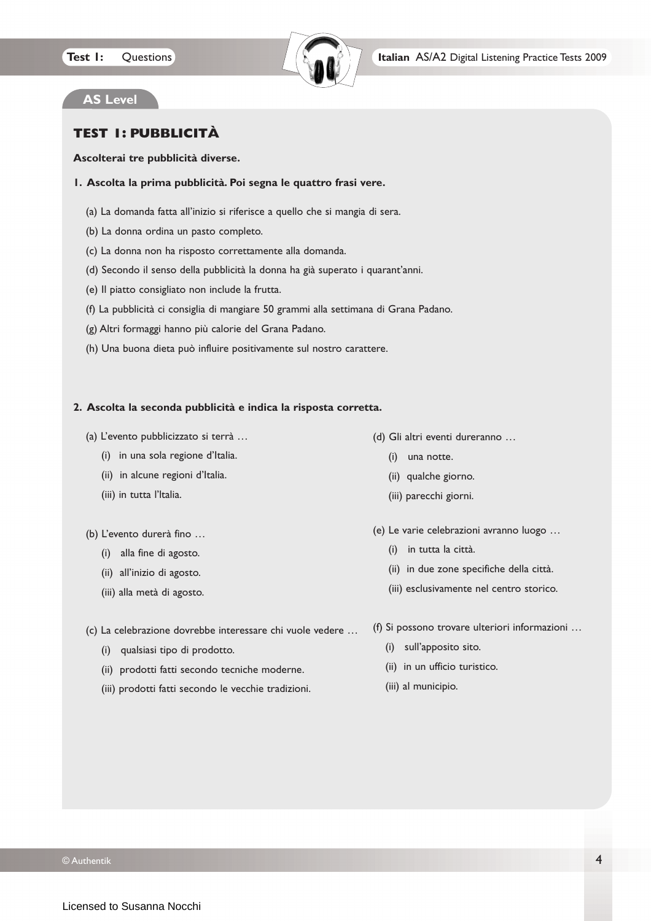

# **AS Level**

# **TEST 1: PUBBLICITÀ**

#### **Ascolterai tre pubblicità diverse.**

#### **1. Ascolta la prima pubblicità. Poi segna le quattro frasi vere.**

- (a) La domanda fatta all'inizio si riferisce a quello che si mangia di sera.
- (b) La donna ordina un pasto completo.
- (c) La donna non ha risposto correttamente alla domanda.
- (d) Secondo il senso della pubblicità la donna ha già superato i quarant'anni.
- (e) Il piatto consigliato non include la frutta.
- (f) La pubblicità ci consiglia di mangiare 50 grammi alla settimana di Grana Padano.
- (g) Altri formaggi hanno più calorie del Grana Padano.
- (h) Una buona dieta può influire positivamente sul nostro carattere.

#### **2. Ascolta la seconda pubblicità e indica la risposta corretta.**

- (a) L'evento pubblicizzato si terrà …
	- (i) in una sola regione d'Italia.
	- (ii) in alcune regioni d'Italia.
	- (iii) in tutta l'ltalia.
- (b) L'evento durerà fino …
	- (i) alla fine di agosto.
	- (ii) all'inizio di agosto.
	- (iii) alla metà di agosto.
- (d) Gli altri eventi dureranno …
	- (i) una notte.
	- (ii) qualche giorno.
	- (iii) parecchi giorni.
- (e) Le varie celebrazioni avranno luogo …
	- (i) in tutta la città.
	- (ii) in due zone specifiche della città.
	- (iii) esclusivamente nel centro storico.
- (c) La celebrazione dovrebbe interessare chi vuole vedere …
	- (i) qualsiasi tipo di prodotto.
	- (ii) prodotti fatti secondo tecniche moderne.
	- (iii) prodotti fatti secondo le vecchie tradizioni.
- (f) Si possono trovare ulteriori informazioni …
	- (i) sull'apposito sito.
	- (ii) in un ufficio turistico.
	- (iii) al municipio.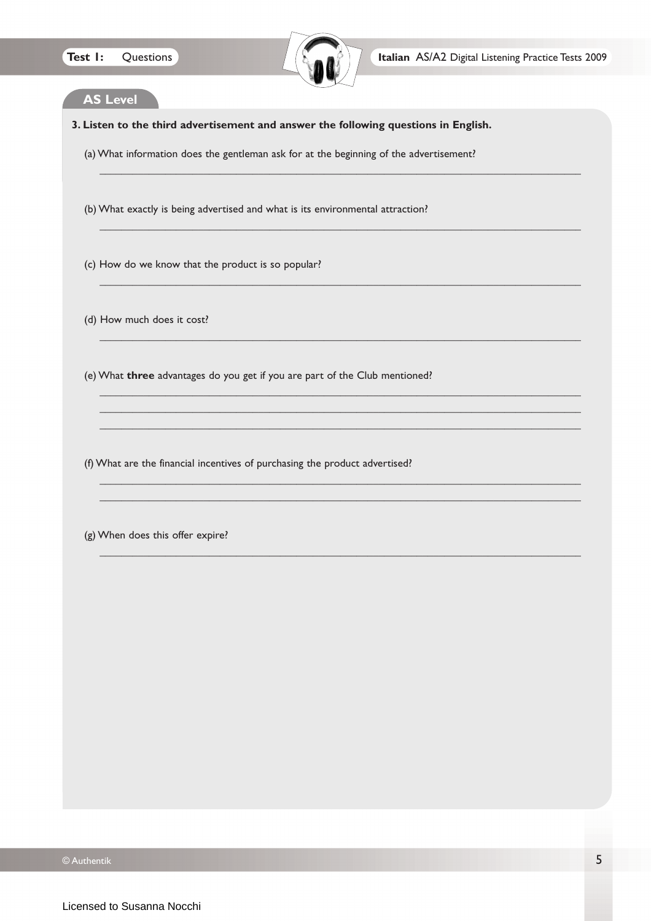

 $\_$  , and the set of the set of the set of the set of the set of the set of the set of the set of the set of the set of the set of the set of the set of the set of the set of the set of the set of the set of the set of th

\_\_\_\_\_\_\_\_\_\_\_\_\_\_\_\_\_\_\_\_\_\_\_\_\_\_\_\_\_\_\_\_\_\_\_\_\_\_\_\_\_\_\_\_\_\_\_\_\_\_\_\_\_\_\_\_\_\_\_\_\_\_\_\_\_\_\_\_\_\_\_\_\_\_\_\_\_\_\_\_\_\_\_\_\_\_\_\_

\_\_\_\_\_\_\_\_\_\_\_\_\_\_\_\_\_\_\_\_\_\_\_\_\_\_\_\_\_\_\_\_\_\_\_\_\_\_\_\_\_\_\_\_\_\_\_\_\_\_\_\_\_\_\_\_\_\_\_\_\_\_\_\_\_\_\_\_\_\_\_\_\_\_\_\_\_\_\_\_\_\_\_\_\_\_\_\_

\_\_\_\_\_\_\_\_\_\_\_\_\_\_\_\_\_\_\_\_\_\_\_\_\_\_\_\_\_\_\_\_\_\_\_\_\_\_\_\_\_\_\_\_\_\_\_\_\_\_\_\_\_\_\_\_\_\_\_\_\_\_\_\_\_\_\_\_\_\_\_\_\_\_\_\_\_\_\_\_\_\_\_\_\_\_\_\_

\_\_\_\_\_\_\_\_\_\_\_\_\_\_\_\_\_\_\_\_\_\_\_\_\_\_\_\_\_\_\_\_\_\_\_\_\_\_\_\_\_\_\_\_\_\_\_\_\_\_\_\_\_\_\_\_\_\_\_\_\_\_\_\_\_\_\_\_\_\_\_\_\_\_\_\_\_\_\_\_\_\_\_\_\_\_\_\_ \_\_\_\_\_\_\_\_\_\_\_\_\_\_\_\_\_\_\_\_\_\_\_\_\_\_\_\_\_\_\_\_\_\_\_\_\_\_\_\_\_\_\_\_\_\_\_\_\_\_\_\_\_\_\_\_\_\_\_\_\_\_\_\_\_\_\_\_\_\_\_\_\_\_\_\_\_\_\_\_\_\_\_\_\_\_\_\_ \_\_\_\_\_\_\_\_\_\_\_\_\_\_\_\_\_\_\_\_\_\_\_\_\_\_\_\_\_\_\_\_\_\_\_\_\_\_\_\_\_\_\_\_\_\_\_\_\_\_\_\_\_\_\_\_\_\_\_\_\_\_\_\_\_\_\_\_\_\_\_\_\_\_\_\_\_\_\_\_\_\_\_\_\_\_\_\_

 $\_$  , and the set of the set of the set of the set of the set of the set of the set of the set of the set of the set of the set of the set of the set of the set of the set of the set of the set of the set of the set of th  $\_$  , and the set of the set of the set of the set of the set of the set of the set of the set of the set of the set of the set of the set of the set of the set of the set of the set of the set of the set of the set of th

 $\_$  , and the set of the set of the set of the set of the set of the set of the set of the set of the set of the set of the set of the set of the set of the set of the set of the set of the set of the set of the set of th

## **AS Level**

**3. Listen to the third advertisement and answer the following questions in English.**

(a) What information does the gentleman ask for at the beginning of the advertisement?

(b) What exactly is being advertised and what is its environmental attraction?

(c) How do we know that the product is so popular?

(d) How much does it cost?

(e) What **three** advantages do you get if you are part of the Club mentioned?

(f) What are the financial incentives of purchasing the product advertised?

(g) When does this offer expire?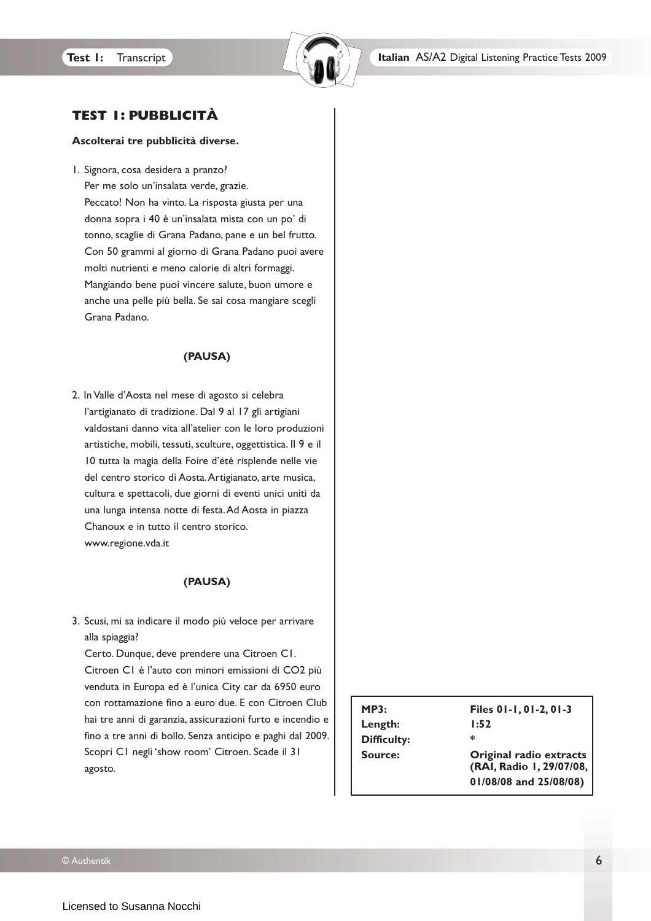

# **TEST 1: PUBBLICITÀ**

#### **Ascolterai tre pubblicità diverse.**

1. Signora, cosa desidera a pranzo?

Per me solo un'insalata verde, grazie. Peccato! Non ha vinto. La risposta giusta per una donna sopra i 40 è un'insalata mista con un po' di tonno, scaglie di Grana Padano, pane e un bel frutto. Con 50 grammi al giorno di Grana Padano puoi avere molti nutrienti e meno calorie di altri formaggi. Mangiando bene puoi vincere salute, buon umore e anche una pelle più bella. Se sai cosa mangiare scegli Grana Padano.

#### **(PAUSA)**

2. In Valle d'Aosta nel mese di agosto si celebra l'artigianato di tradizione. Dal 9 al 17 gli artigiani valdostani danno vita all'atelier con le loro produzioni artistiche, mobili, tessuti, sculture, oggettistica. Il 9 e il 10 tutta la magia della Foire d'été risplende nelle vie del centro storico di Aosta.Artigianato, arte musica, cultura e spettacoli, due giorni di eventi unici uniti da una lunga intensa notte di festa.Ad Aosta in piazza Chanoux e in tutto il centro storico. www.regione.vda.it

#### **(PAUSA)**

3. Scusi, mi sa indicare il modo più veloce per arrivare alla spiaggia?

Certo. Dunque, deve prendere una Citroen C1. Citroen C1 è l'auto con minori emissioni di CO2 più venduta in Europa ed è l'unica City car da 6950 euro con rottamazione fino a euro due. E con Citroen Club hai tre anni di garanzia, assicurazioni furto e incendio e fino a tre anni di bollo. Senza anticipo e paghi dal 2009. Scopri C1 negli 'show room' Citroen. Scade il 31 agosto.

| MP3:               | Files 01-1, 01-2, 01-3                              |
|--------------------|-----------------------------------------------------|
| Length:            | 1:52                                                |
| <b>Difficulty:</b> | ∗                                                   |
| Source:            | Original radio extracts<br>(RAI, Radio 1, 29/07/08, |
|                    | 01/08/08 and 25/08/08)                              |